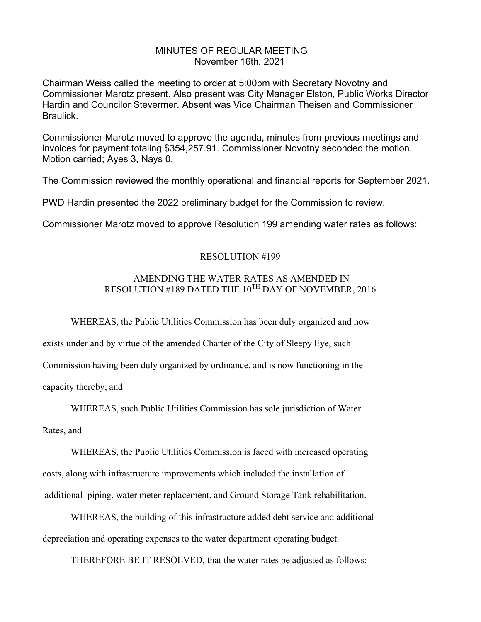### MINUTES OF REGULAR MEETING November 16th, 2021

Chairman Weiss called the meeting to order at 5:00pm with Secretary Novotny and Commissioner Marotz present. Also present was City Manager Elston, Public Works Director Hardin and Councilor Stevermer. Absent was Vice Chairman Theisen and Commissioner Braulick.

Commissioner Marotz moved to approve the agenda, minutes from previous meetings and invoices for payment totaling \$354,257.91. Commissioner Novotny seconded the motion. Motion carried; Ayes 3, Nays 0.

The Commission reviewed the monthly operational and financial reports for September 2021.

PWD Hardin presented the 2022 preliminary budget for the Commission to review.

Commissioner Marotz moved to approve Resolution 199 amending water rates as follows:

### RESOLUTION #199

# AMENDING THE WATER RATES AS AMENDED IN RESOLUTION #189 DATED THE 10TH DAY OF NOVEMBER, 2016

WHEREAS, the Public Utilities Commission has been duly organized and now

exists under and by virtue of the amended Charter of the City of Sleepy Eye, such

Commission having been duly organized by ordinance, and is now functioning in the

capacity thereby, and

WHEREAS, such Public Utilities Commission has sole jurisdiction of Water

Rates, and

WHEREAS, the Public Utilities Commission is faced with increased operating costs, along with infrastructure improvements which included the installation of additional piping, water meter replacement, and Ground Storage Tank rehabilitation.

WHEREAS, the building of this infrastructure added debt service and additional depreciation and operating expenses to the water department operating budget.

THEREFORE BE IT RESOLVED, that the water rates be adjusted as follows: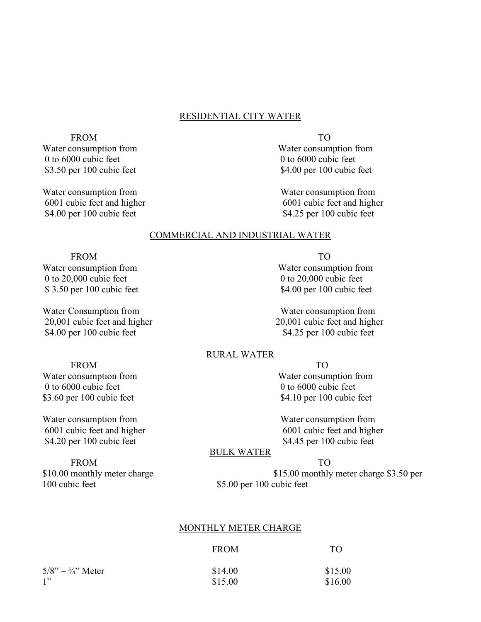# RESIDENTIAL CITY WATER

FROM TO Water consumption from  $\blacksquare$  Water consumption from  $\blacksquare$ 0 to 6000 cubic feet 0 to 6000 cubic feet

Water consumption from Water consumption from Water consumption from Water consumption from Water consumption from  $\mathbb{R}^n$ \$4.00 per 100 cubic feet \$4.25 per 100 cubic feet

\$3.50 per 100 cubic feet \$4.00 per 100 cubic feet

6001 cubic feet and higher 6001 cubic feet and higher

#### COMMERCIAL AND INDUSTRIAL WATER

#### FROM TO

0 to 20,000 cubic feet 0 to 20,000 cubic feet \$3.50 per 100 cubic feet \$4.00 per 100 cubic feet

Water Consumption from Water consumption from 20,001 cubic feet and higher 20,001 cubic feet and higher \$4.00 per 100 cubic feet \$4.25 per 100 cubic feet

Water consumption from Water consumption from

#### RURAL WATER

#### FROM TO

0 to 6000 cubic feet 0 to 6000 cubic feet \$3.60 per 100 cubic feet \$4.10 per 100 cubic feet

Water consumption from Water consumption from 6001 cubic feet and higher 6001 cubic feet and higher \$4.20 per 100 cubic feet \$4.45 per 100 cubic feet

FROM TO 100 cubic feet \$5.00 per 100 cubic feet

Water consumption from Water consumption from

#### BULK WATER

\$10.00 monthly meter charge \$15.00 monthly meter charge \$3.50 per

# MONTHLY METER CHARGE

|                             | <b>FROM</b> | TO.     |
|-----------------------------|-------------|---------|
| $5/8" - \frac{3}{4}"$ Meter | \$14.00     | \$15.00 |
| 1"                          | \$15.00     | \$16.00 |